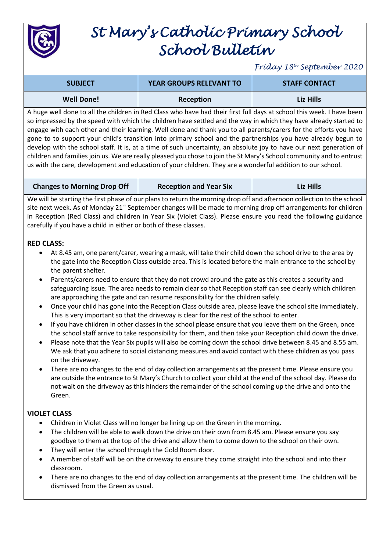

## *St Mary's Catholic Primary School School Bulletin*

*Friday 18th September 2020*

| <b>SUBJECT</b>    | <b>YEAR GROUPS RELEVANT TO</b> | <b>STAFF CONTACT</b> |
|-------------------|--------------------------------|----------------------|
| <b>Well Done!</b> | Reception                      | Liz Hills            |

A huge well done to all the children in Red Class who have had their first full days at school this week. I have been so impressed by the speed with which the children have settled and the way in which they have already started to engage with each other and their learning. Well done and thank you to all parents/carers for the efforts you have gone to to support your child's transition into primary school and the partnerships you have already begun to develop with the school staff. It is, at a time of such uncertainty, an absolute joy to have our next generation of children and families join us. We are really pleased you chose to join the St Mary's School community and to entrust us with the care, development and education of your children. They are a wonderful addition to our school.

**Changes to Morning Drop Off Reception and Year Six Liz Hills**

We will be starting the first phase of our plans to return the morning drop off and afternoon collection to the school site next week. As of Monday 21<sup>st</sup> September changes will be made to morning drop off arrangements for children in Reception (Red Class) and children in Year Six (Violet Class). Please ensure you read the following guidance carefully if you have a child in either or both of these classes.

## **RED CLASS:**

- At 8.45 am, one parent/carer, wearing a mask, will take their child down the school drive to the area by the gate into the Reception Class outside area. This is located before the main entrance to the school by the parent shelter.
- Parents/carers need to ensure that they do not crowd around the gate as this creates a security and safeguarding issue. The area needs to remain clear so that Reception staff can see clearly which children are approaching the gate and can resume responsibility for the children safely.
- Once your child has gone into the Reception Class outside area, please leave the school site immediately. This is very important so that the driveway is clear for the rest of the school to enter.
- If you have children in other classes in the school please ensure that you leave them on the Green, once the school staff arrive to take responsibility for them, and then take your Reception child down the drive.
- Please note that the Year Six pupils will also be coming down the school drive between 8.45 and 8.55 am. We ask that you adhere to social distancing measures and avoid contact with these children as you pass on the driveway.
- There are no changes to the end of day collection arrangements at the present time. Please ensure you are outside the entrance to St Mary's Church to collect your child at the end of the school day. Please do not wait on the driveway as this hinders the remainder of the school coming up the drive and onto the Green.

## **VIOLET CLASS**

- Children in Violet Class will no longer be lining up on the Green in the morning.
- The children will be able to walk down the drive on their own from 8.45 am. Please ensure you say goodbye to them at the top of the drive and allow them to come down to the school on their own.
- They will enter the school through the Gold Room door.
- A member of staff will be on the driveway to ensure they come straight into the school and into their classroom.
- There are no changes to the end of day collection arrangements at the present time. The children will be dismissed from the Green as usual.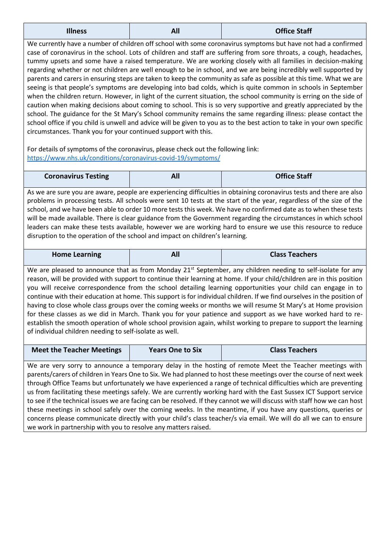| <b>Office Staff</b><br><b>Illness</b><br>All |
|----------------------------------------------|
|----------------------------------------------|

We currently have a number of children off school with some coronavirus symptoms but have not had a confirmed case of coronavirus in the school. Lots of children and staff are suffering from sore throats, a cough, headaches, tummy upsets and some have a raised temperature. We are working closely with all families in decision-making regarding whether or not children are well enough to be in school, and we are being incredibly well supported by parents and carers in ensuring steps are taken to keep the community as safe as possible at this time. What we are seeing is that people's symptoms are developing into bad colds, which is quite common in schools in September when the children return. However, in light of the current situation, the school community is erring on the side of caution when making decisions about coming to school. This is so very supportive and greatly appreciated by the school. The guidance for the St Mary's School community remains the same regarding illness: please contact the school office if you child is unwell and advice will be given to you as to the best action to take in your own specific circumstances. Thank you for your continued support with this.

For details of symptoms of the coronavirus, please check out the following link: <https://www.nhs.uk/conditions/coronavirus-covid-19/symptoms/>

| <b>Coronavirus Testing</b> | - 11 | <b>Office Staff</b> |
|----------------------------|------|---------------------|

As we are sure you are aware, people are experiencing difficulties in obtaining coronavirus tests and there are also problems in processing tests. All schools were sent 10 tests at the start of the year, regardless of the size of the school, and we have been able to order 10 more tests this week. We have no confirmed date as to when these tests will be made available. There is clear guidance from the Government regarding the circumstances in which school leaders can make these tests available, however we are working hard to ensure we use this resource to reduce disruption to the operation of the school and impact on children's learning.

| <b>Home Learning</b> | All | <b>Class Teachers</b> |
|----------------------|-----|-----------------------|

We are pleased to announce that as from Monday 21<sup>st</sup> September, any children needing to self-isolate for any reason, will be provided with support to continue their learning at home. If your child/children are in this position you will receive correspondence from the school detailing learning opportunities your child can engage in to continue with their education at home. This support is for individual children. If we find ourselves in the position of having to close whole class groups over the coming weeks or months we will resume St Mary's at Home provision for these classes as we did in March. Thank you for your patience and support as we have worked hard to reestablish the smooth operation of whole school provision again, whilst working to prepare to support the learning of individual children needing to self-isolate as well.

| <b>Meet the Teacher Meetings</b> | <b>Years One to Six</b> | <b>Class Teachers</b> |
|----------------------------------|-------------------------|-----------------------|
|                                  |                         |                       |

We are very sorry to announce a temporary delay in the hosting of remote Meet the Teacher meetings with parents/carers of children in Years One to Six. We had planned to host these meetings over the course of next week through Office Teams but unfortunately we have experienced a range of technical difficulties which are preventing us from facilitating these meetings safely. We are currently working hard with the East Sussex ICT Support service to see if the technical issues we are facing can be resolved. If they cannot we will discuss with staff how we can host these meetings in school safely over the coming weeks. In the meantime, if you have any questions, queries or concerns please communicate directly with your child's class teacher/s via email. We will do all we can to ensure we work in partnership with you to resolve any matters raised.